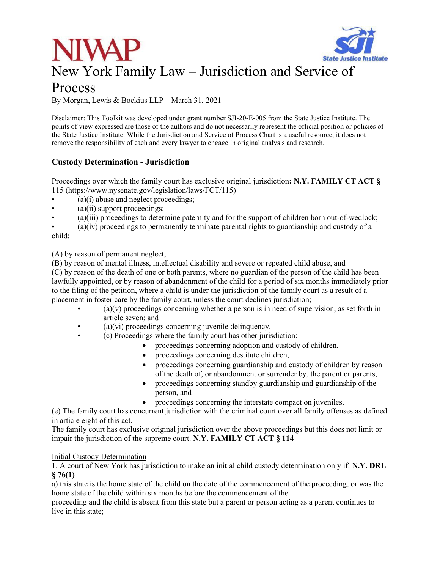



# New York Family Law – Jurisdiction and Service of

# Process

By Morgan, Lewis & Bockius LLP – March 31, 2021

Disclaimer: This Toolkit was developed under grant number SJI-20-E-005 from the State Justice Institute. The points of view expressed are those of the authors and do not necessarily represent the official position or policies of the State Justice Institute. While the Jurisdiction and Service of Process Chart is a useful resource, it does not remove the responsibility of each and every lawyer to engage in original analysis and research.

## **Custody Determination - Jurisdiction**

Proceedings over which the family court has exclusive original jurisdiction**: N.Y. FAMILY CT ACT §**  115 (https://www.nysenate.gov/legislation/laws/FCT/115)

- $(a)(i)$  abuse and neglect proceedings;
- $(a)(ii)$  support proceedings;
- (a)(iii) proceedings to determine paternity and for the support of children born out-of-wedlock;
- $(a)(iv)$  proceedings to permanently terminate parental rights to guardianship and custody of a child:

(A) by reason of permanent neglect,

(B) by reason of mental illness, intellectual disability and severe or repeated child abuse, and

(C) by reason of the death of one or both parents, where no guardian of the person of the child has been lawfully appointed, or by reason of abandonment of the child for a period of six months immediately prior to the filing of the petition, where a child is under the jurisdiction of the family court as a result of a placement in foster care by the family court, unless the court declines jurisdiction;

- $(a)(v)$  proceedings concerning whether a person is in need of supervision, as set forth in article seven; and
- (a)(vi) proceedings concerning juvenile delinquency,
- (c) Proceedings where the family court has other jurisdiction:
	- proceedings concerning adoption and custody of children,
	- proceedings concerning destitute children,
	- proceedings concerning guardianship and custody of children by reason of the death of, or abandonment or surrender by, the parent or parents,
	- proceedings concerning standby guardianship and guardianship of the person, and
	- proceedings concerning the interstate compact on juveniles.

(e) The family court has concurrent jurisdiction with the criminal court over all family offenses as defined in article eight of this act.

The family court has exclusive original jurisdiction over the above proceedings but this does not limit or impair the jurisdiction of the supreme court. **N.Y. FAMILY CT ACT § 114** 

#### Initial Custody Determination

1. A court of New York has jurisdiction to make an initial child custody determination only if: **N.Y. DRL § 76(1)** 

a) this state is the home state of the child on the date of the commencement of the proceeding, or was the home state of the child within six months before the commencement of the

proceeding and the child is absent from this state but a parent or person acting as a parent continues to live in this state;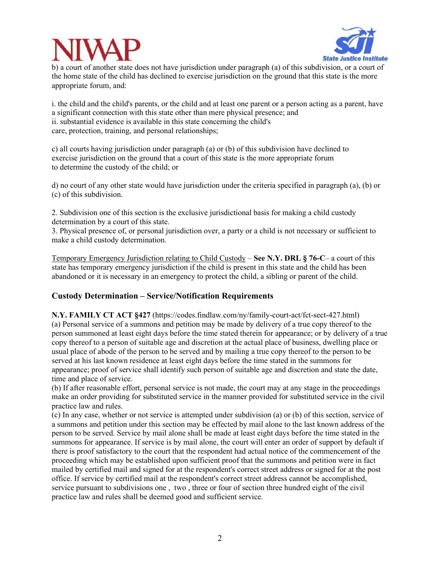



b) a court of another state does not have jurisdiction under paragraph (a) of this subdivision, or a court of the home state of the child has declined to exercise jurisdiction on the ground that this state is the more appropriate forum, and:

i. the child and the child's parents, or the child and at least one parent or a person acting as a parent, have a significant connection with this state other than mere physical presence; and ii. substantial evidence is available in this state concerning the child's care, protection, training, and personal relationships;

c) all courts having jurisdiction under paragraph (a) or (b) of this subdivision have declined to exercise jurisdiction on the ground that a court of this state is the more appropriate forum to determine the custody of the child; or

d) no court of any other state would have jurisdiction under the criteria specified in paragraph (a), (b) or (c) of this subdivision.

2. Subdivision one of this section is the exclusive jurisdictional basis for making a child custody determination by a court of this state.

3. Physical presence of, or personal jurisdiction over, a party or a child is not necessary or sufficient to make a child custody determination.

Temporary Emergency Jurisdiction relating to Child Custody – **See N.Y. DRL § 76-C**– a court of this state has temporary emergency jurisdiction if the child is present in this state and the child has been abandoned or it is necessary in an emergency to protect the child, a sibling or parent of the child.

#### **Custody Determination – Service/Notification Requirements**

**N.Y. FAMILY CT ACT §427** (https://codes.findlaw.com/ny/family-court-act/fct-sect-427.html) (a) Personal service of a summons and petition may be made by delivery of a true copy thereof to the person summoned at least eight days before the time stated therein for appearance; or by delivery of a true copy thereof to a person of suitable age and discretion at the actual place of business, dwelling place or usual place of abode of the person to be served and by mailing a true copy thereof to the person to be served at his last known residence at least eight days before the time stated in the summons for appearance; proof of service shall identify such person of suitable age and discretion and state the date, time and place of service.

(b) If after reasonable effort, personal service is not made, the court may at any stage in the proceedings make an order providing for substituted service in the manner provided for substituted service in the civil practice law and rules.

(c) In any case, whether or not service is attempted under subdivision (a) or (b) of this section, service of a summons and petition under this section may be effected by mail alone to the last known address of the person to be served. Service by mail alone shall be made at least eight days before the time stated in the summons for appearance. If service is by mail alone, the court will enter an order of support by default if there is proof satisfactory to the court that the respondent had actual notice of the commencement of the proceeding which may be established upon sufficient proof that the summons and petition were in fact mailed by certified mail and signed for at the respondent's correct street address or signed for at the post office. If service by certified mail at the respondent's correct street address cannot be accomplished, service pursuant to subdivisions one , two , three or four of section three hundred eight of the civil practice law and rules shall be deemed good and sufficient service.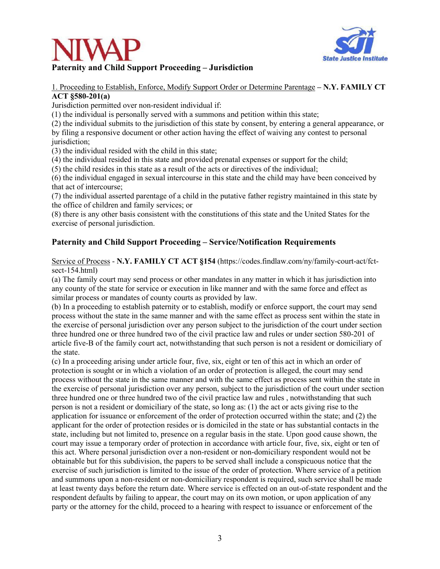



#### 1. Proceeding to Establish, Enforce, Modify Support Order or Determine Parentage **– N.Y. FAMILY CT ACT §580-201(a)**

Jurisdiction permitted over non-resident individual if:

(1) the individual is personally served with a summons and petition within this state;

(2) the individual submits to the jurisdiction of this state by consent, by entering a general appearance, or by filing a responsive document or other action having the effect of waiving any contest to personal jurisdiction;

(3) the individual resided with the child in this state;

(4) the individual resided in this state and provided prenatal expenses or support for the child;

(5) the child resides in this state as a result of the acts or directives of the individual;

(6) the individual engaged in sexual intercourse in this state and the child may have been conceived by that act of intercourse;

(7) the individual asserted parentage of a child in the putative father registry maintained in this state by the office of children and family services; or

(8) there is any other basis consistent with the constitutions of this state and the United States for the exercise of personal jurisdiction.

### **Paternity and Child Support Proceeding – Service/Notification Requirements**

Service of Process - **N.Y. FAMILY CT ACT §154** (https://codes.findlaw.com/ny/family-court-act/fctsect-154.html)

(a) The family court may send process or other mandates in any matter in which it has jurisdiction into any county of the state for service or execution in like manner and with the same force and effect as similar process or mandates of county courts as provided by law.

(b) In a proceeding to establish paternity or to establish, modify or enforce support, the court may send process without the state in the same manner and with the same effect as process sent within the state in the exercise of personal jurisdiction over any person subject to the jurisdiction of the court under section three hundred one or three hundred two of the civil practice law and rules or under section 580-201 of article five-B of the family court act, notwithstanding that such person is not a resident or domiciliary of the state.

(c) In a proceeding arising under article four, five, six, eight or ten of this act in which an order of protection is sought or in which a violation of an order of protection is alleged, the court may send process without the state in the same manner and with the same effect as process sent within the state in the exercise of personal jurisdiction over any person, subject to the jurisdiction of the court under section three hundred one or three hundred two of the civil practice law and rules , notwithstanding that such person is not a resident or domiciliary of the state, so long as: (1) the act or acts giving rise to the application for issuance or enforcement of the order of protection occurred within the state; and (2) the applicant for the order of protection resides or is domiciled in the state or has substantial contacts in the state, including but not limited to, presence on a regular basis in the state. Upon good cause shown, the court may issue a temporary order of protection in accordance with article four, five, six, eight or ten of this act. Where personal jurisdiction over a non-resident or non-domiciliary respondent would not be obtainable but for this subdivision, the papers to be served shall include a conspicuous notice that the exercise of such jurisdiction is limited to the issue of the order of protection. Where service of a petition and summons upon a non-resident or non-domiciliary respondent is required, such service shall be made at least twenty days before the return date. Where service is effected on an out-of-state respondent and the respondent defaults by failing to appear, the court may on its own motion, or upon application of any party or the attorney for the child, proceed to a hearing with respect to issuance or enforcement of the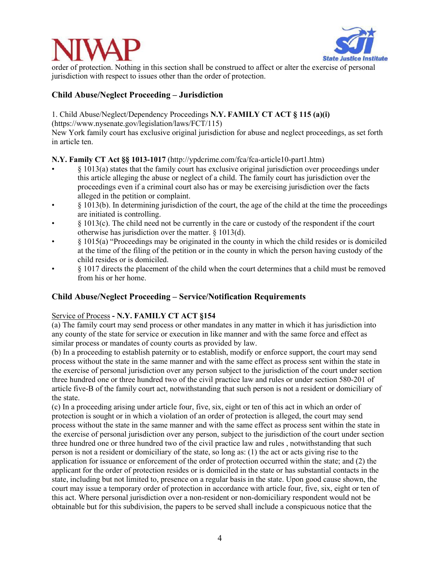



order of protection. Nothing in this section shall be construed to affect or alter the exercise of personal jurisdiction with respect to issues other than the order of protection.

#### **Child Abuse/Neglect Proceeding – Jurisdiction**

#### 1. Child Abuse/Neglect/Dependency Proceedings **N.Y. FAMILY CT ACT § 115 (a)(i)**

(https://www.nysenate.gov/legislation/laws/FCT/115)

New York family court has exclusive original jurisdiction for abuse and neglect proceedings, as set forth in article ten.

#### **N.Y. Family CT Act §§ 1013-1017** (http://ypdcrime.com/fca/fca-article10-part1.htm)

- § 1013(a) states that the family court has exclusive original jurisdiction over proceedings under this article alleging the abuse or neglect of a child. The family court has jurisdiction over the proceedings even if a criminal court also has or may be exercising jurisdiction over the facts alleged in the petition or complaint.
- § 1013(b). In determining jurisdiction of the court, the age of the child at the time the proceedings are initiated is controlling.
- § 1013(c). The child need not be currently in the care or custody of the respondent if the court otherwise has jurisdiction over the matter. § 1013(d).
- § 1015(a) "Proceedings may be originated in the county in which the child resides or is domiciled at the time of the filing of the petition or in the county in which the person having custody of the child resides or is domiciled.
- § 1017 directs the placement of the child when the court determines that a child must be removed from his or her home.

### **Child Abuse/Neglect Proceeding – Service/Notification Requirements**

#### Service of Process **- N.Y. FAMILY CT ACT §154**

(a) The family court may send process or other mandates in any matter in which it has jurisdiction into any county of the state for service or execution in like manner and with the same force and effect as similar process or mandates of county courts as provided by law.

(b) In a proceeding to establish paternity or to establish, modify or enforce support, the court may send process without the state in the same manner and with the same effect as process sent within the state in the exercise of personal jurisdiction over any person subject to the jurisdiction of the court under section three hundred one or three hundred two of the civil practice law and rules or under section 580-201 of article five-B of the family court act, notwithstanding that such person is not a resident or domiciliary of the state.

(c) In a proceeding arising under article four, five, six, eight or ten of this act in which an order of protection is sought or in which a violation of an order of protection is alleged, the court may send process without the state in the same manner and with the same effect as process sent within the state in the exercise of personal jurisdiction over any person, subject to the jurisdiction of the court under section three hundred one or three hundred two of the civil practice law and rules , notwithstanding that such person is not a resident or domiciliary of the state, so long as: (1) the act or acts giving rise to the application for issuance or enforcement of the order of protection occurred within the state; and (2) the applicant for the order of protection resides or is domiciled in the state or has substantial contacts in the state, including but not limited to, presence on a regular basis in the state. Upon good cause shown, the court may issue a temporary order of protection in accordance with article four, five, six, eight or ten of this act. Where personal jurisdiction over a non-resident or non-domiciliary respondent would not be obtainable but for this subdivision, the papers to be served shall include a conspicuous notice that the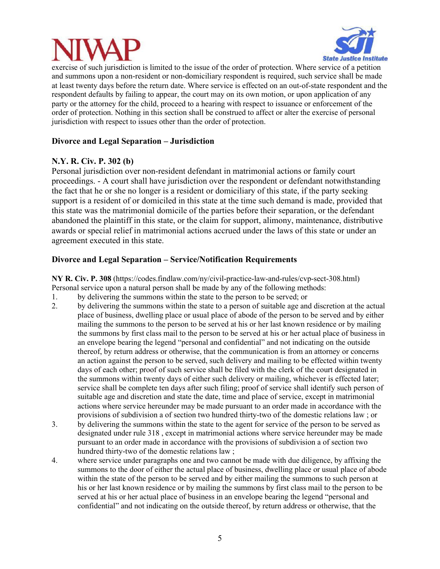



exercise of such jurisdiction is limited to the issue of the order of protection. Where service of a petition and summons upon a non-resident or non-domiciliary respondent is required, such service shall be made at least twenty days before the return date. Where service is effected on an out-of-state respondent and the respondent defaults by failing to appear, the court may on its own motion, or upon application of any party or the attorney for the child, proceed to a hearing with respect to issuance or enforcement of the order of protection. Nothing in this section shall be construed to affect or alter the exercise of personal jurisdiction with respect to issues other than the order of protection.

#### **Divorce and Legal Separation – Jurisdiction**

#### **N.Y. R. Civ. P. 302 (b)**

Personal jurisdiction over non-resident defendant in matrimonial actions or family court proceedings. - A court shall have jurisdiction over the respondent or defendant notwithstanding the fact that he or she no longer is a resident or domiciliary of this state, if the party seeking support is a resident of or domiciled in this state at the time such demand is made, provided that this state was the matrimonial domicile of the parties before their separation, or the defendant abandoned the plaintiff in this state, or the claim for support, alimony, maintenance, distributive awards or special relief in matrimonial actions accrued under the laws of this state or under an agreement executed in this state.

#### **Divorce and Legal Separation – Service/Notification Requirements**

**NY R. Civ. P. 308** (https://codes.findlaw.com/ny/civil-practice-law-and-rules/cvp-sect-308.html) Personal service upon a natural person shall be made by any of the following methods:

- 1. by delivering the summons within the state to the person to be served; or
- 2. by delivering the summons within the state to a person of suitable age and discretion at the actual place of business, dwelling place or usual place of abode of the person to be served and by either mailing the summons to the person to be served at his or her last known residence or by mailing the summons by first class mail to the person to be served at his or her actual place of business in an envelope bearing the legend "personal and confidential" and not indicating on the outside thereof, by return address or otherwise, that the communication is from an attorney or concerns an action against the person to be served, such delivery and mailing to be effected within twenty days of each other; proof of such service shall be filed with the clerk of the court designated in the summons within twenty days of either such delivery or mailing, whichever is effected later; service shall be complete ten days after such filing; proof of service shall identify such person of suitable age and discretion and state the date, time and place of service, except in matrimonial actions where service hereunder may be made pursuant to an order made in accordance with the provisions of subdivision a of section two hundred thirty-two of the domestic relations law ; or
- 3. by delivering the summons within the state to the agent for service of the person to be served as designated under rule 318 , except in matrimonial actions where service hereunder may be made pursuant to an order made in accordance with the provisions of subdivision a of section two hundred thirty-two of the domestic relations law ;
- 4. where service under paragraphs one and two cannot be made with due diligence, by affixing the summons to the door of either the actual place of business, dwelling place or usual place of abode within the state of the person to be served and by either mailing the summons to such person at his or her last known residence or by mailing the summons by first class mail to the person to be served at his or her actual place of business in an envelope bearing the legend "personal and confidential" and not indicating on the outside thereof, by return address or otherwise, that the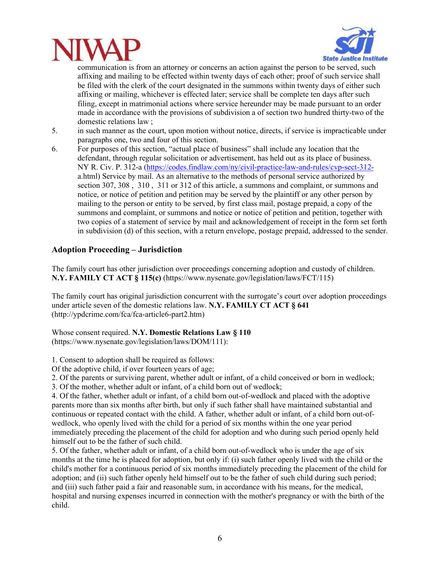



communication is from an attorney or concerns an action against the person to be served, such affixing and mailing to be effected within twenty days of each other; proof of such service shall be filed with the clerk of the court designated in the summons within twenty days of either such affixing or mailing, whichever is effected later; service shall be complete ten days after such filing, except in matrimonial actions where service hereunder may be made pursuant to an order made in accordance with the provisions of subdivision a of section two hundred thirty-two of the domestic relations law ;

- 5. in such manner as the court, upon motion without notice, directs, if service is impracticable under paragraphs one, two and four of this section.
- 6. For purposes of this section, "actual place of business" shall include any location that the defendant, through regular solicitation or advertisement, has held out as its place of business. NY R. Civ. P. 312-a (https://codes.findlaw.com/ny/civil-practice-law-and-rules/cvp-sect-312 a.html) Service by mail. As an alternative to the methods of personal service authorized by section 307, 308 , 310 , 311 or 312 of this article, a summons and complaint, or summons and notice, or notice of petition and petition may be served by the plaintiff or any other person by mailing to the person or entity to be served, by first class mail, postage prepaid, a copy of the summons and complaint, or summons and notice or notice of petition and petition, together with two copies of a statement of service by mail and acknowledgement of receipt in the form set forth in subdivision (d) of this section, with a return envelope, postage prepaid, addressed to the sender.

#### **Adoption Proceeding – Jurisdiction**

The family court has other jurisdiction over proceedings concerning adoption and custody of children. **N.Y. FAMILY CT ACT § 115(c)** (https://www.nysenate.gov/legislation/laws/FCT/115)

The family court has original jurisdiction concurrent with the surrogate's court over adoption proceedings under article seven of the domestic relations law. **N.Y. FAMILY CT ACT § 641** (http://ypdcrime.com/fca/fca-article6-part2.htm)

Whose consent required. **N.Y. Domestic Relations Law § 110** (https://www.nysenate.gov/legislation/laws/DOM/111):

1. Consent to adoption shall be required as follows:

Of the adoptive child, if over fourteen years of age;

2. Of the parents or surviving parent, whether adult or infant, of a child conceived or born in wedlock;

3. Of the mother, whether adult or infant, of a child born out of wedlock;

4. Of the father, whether adult or infant, of a child born out-of-wedlock and placed with the adoptive parents more than six months after birth, but only if such father shall have maintained substantial and continuous or repeated contact with the child. A father, whether adult or infant, of a child born out-ofwedlock, who openly lived with the child for a period of six months within the one year period immediately preceding the placement of the child for adoption and who during such period openly held himself out to be the father of such child.

5. Of the father, whether adult or infant, of a child born out-of-wedlock who is under the age of six months at the time he is placed for adoption, but only if: (i) such father openly lived with the child or the child's mother for a continuous period of six months immediately preceding the placement of the child for adoption; and (ii) such father openly held himself out to be the father of such child during such period; and (iii) such father paid a fair and reasonable sum, in accordance with his means, for the medical, hospital and nursing expenses incurred in connection with the mother's pregnancy or with the birth of the child.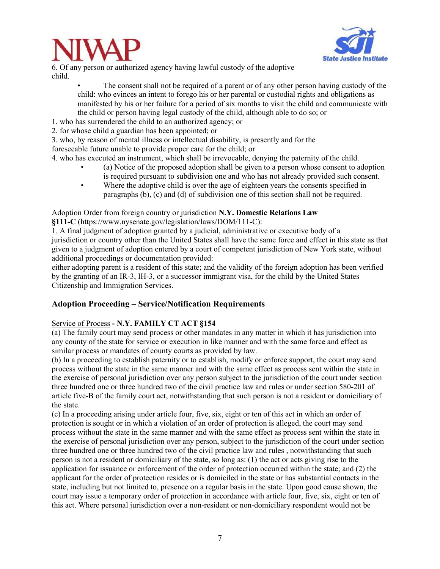



6. Of any person or authorized agency having lawful custody of the adoptive child.

- The consent shall not be required of a parent or of any other person having custody of the child: who evinces an intent to forego his or her parental or custodial rights and obligations as manifested by his or her failure for a period of six months to visit the child and communicate with the child or person having legal custody of the child, although able to do so; or
- 1. who has surrendered the child to an authorized agency; or
- 2. for whose child a guardian has been appointed; or
- 3. who, by reason of mental illness or intellectual disability, is presently and for the
- foreseeable future unable to provide proper care for the child; or

4. who has executed an instrument, which shall be irrevocable, denying the paternity of the child.

- (a) Notice of the proposed adoption shall be given to a person whose consent to adoption is required pursuant to subdivision one and who has not already provided such consent.
- Where the adoptive child is over the age of eighteen years the consents specified in paragraphs (b), (c) and (d) of subdivision one of this section shall not be required.

# Adoption Order from foreign country or jurisdiction **N.Y. Domestic Relations Law**

**§111-C** (https://www.nysenate.gov/legislation/laws/DOM/111-C):

1. A final judgment of adoption granted by a judicial, administrative or executive body of a jurisdiction or country other than the United States shall have the same force and effect in this state as that given to a judgment of adoption entered by a court of competent jurisdiction of New York state, without additional proceedings or documentation provided:

either adopting parent is a resident of this state; and the validity of the foreign adoption has been verified by the granting of an IR-3, IH-3, or a successor immigrant visa, for the child by the United States Citizenship and Immigration Services.

#### **Adoption Proceeding – Service/Notification Requirements**

#### Service of Process **- N.Y. FAMILY CT ACT §154**

(a) The family court may send process or other mandates in any matter in which it has jurisdiction into any county of the state for service or execution in like manner and with the same force and effect as similar process or mandates of county courts as provided by law.

(b) In a proceeding to establish paternity or to establish, modify or enforce support, the court may send process without the state in the same manner and with the same effect as process sent within the state in the exercise of personal jurisdiction over any person subject to the jurisdiction of the court under section three hundred one or three hundred two of the civil practice law and rules or under section 580-201 of article five-B of the family court act, notwithstanding that such person is not a resident or domiciliary of the state.

(c) In a proceeding arising under article four, five, six, eight or ten of this act in which an order of protection is sought or in which a violation of an order of protection is alleged, the court may send process without the state in the same manner and with the same effect as process sent within the state in the exercise of personal jurisdiction over any person, subject to the jurisdiction of the court under section three hundred one or three hundred two of the civil practice law and rules , notwithstanding that such person is not a resident or domiciliary of the state, so long as: (1) the act or acts giving rise to the application for issuance or enforcement of the order of protection occurred within the state; and (2) the applicant for the order of protection resides or is domiciled in the state or has substantial contacts in the state, including but not limited to, presence on a regular basis in the state. Upon good cause shown, the court may issue a temporary order of protection in accordance with article four, five, six, eight or ten of this act. Where personal jurisdiction over a non-resident or non-domiciliary respondent would not be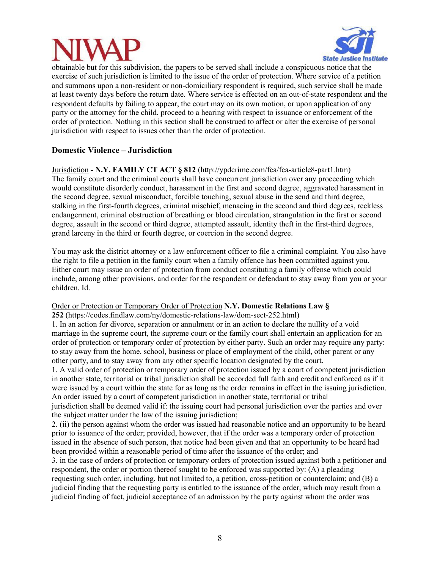



obtainable but for this subdivision, the papers to be served shall include a conspicuous notice that the exercise of such jurisdiction is limited to the issue of the order of protection. Where service of a petition and summons upon a non-resident or non-domiciliary respondent is required, such service shall be made at least twenty days before the return date. Where service is effected on an out-of-state respondent and the respondent defaults by failing to appear, the court may on its own motion, or upon application of any party or the attorney for the child, proceed to a hearing with respect to issuance or enforcement of the order of protection. Nothing in this section shall be construed to affect or alter the exercise of personal jurisdiction with respect to issues other than the order of protection.

#### **Domestic Violence – Jurisdiction**

Jurisdiction **- N.Y. FAMILY CT ACT § 812** (http://ypdcrime.com/fca/fca-article8-part1.htm) The family court and the criminal courts shall have concurrent jurisdiction over any proceeding which would constitute disorderly conduct, harassment in the first and second degree, aggravated harassment in the second degree, sexual misconduct, forcible touching, sexual abuse in the send and third degree, stalking in the first-fourth degrees, criminal mischief, menacing in the second and third degrees, reckless endangerment, criminal obstruction of breathing or blood circulation, strangulation in the first or second degree, assault in the second or third degree, attempted assault, identity theft in the first-third degrees, grand larceny in the third or fourth degree, or coercion in the second degree.

You may ask the district attorney or a law enforcement officer to file a criminal complaint. You also have the right to file a petition in the family court when a family offence has been committed against you. Either court may issue an order of protection from conduct constituting a family offense which could include, among other provisions, and order for the respondent or defendant to stay away from you or your children. Id.

#### Order or Protection or Temporary Order of Protection **N.Y. Domestic Relations Law §**

**252** (https://codes.findlaw.com/ny/domestic-relations-law/dom-sect-252.html)

1. In an action for divorce, separation or annulment or in an action to declare the nullity of a void marriage in the supreme court, the supreme court or the family court shall entertain an application for an order of protection or temporary order of protection by either party. Such an order may require any party: to stay away from the home, school, business or place of employment of the child, other parent or any other party, and to stay away from any other specific location designated by the court.

1. A valid order of protection or temporary order of protection issued by a court of competent jurisdiction in another state, territorial or tribal jurisdiction shall be accorded full faith and credit and enforced as if it were issued by a court within the state for as long as the order remains in effect in the issuing jurisdiction. An order issued by a court of competent jurisdiction in another state, territorial or tribal jurisdiction shall be deemed valid if: the issuing court had personal jurisdiction over the parties and over

the subject matter under the law of the issuing jurisdiction;

2. (ii) the person against whom the order was issued had reasonable notice and an opportunity to be heard prior to issuance of the order; provided, however, that if the order was a temporary order of protection issued in the absence of such person, that notice had been given and that an opportunity to be heard had been provided within a reasonable period of time after the issuance of the order; and

3. in the case of orders of protection or temporary orders of protection issued against both a petitioner and respondent, the order or portion thereof sought to be enforced was supported by: (A) a pleading requesting such order, including, but not limited to, a petition, cross-petition or counterclaim; and (B) a judicial finding that the requesting party is entitled to the issuance of the order, which may result from a judicial finding of fact, judicial acceptance of an admission by the party against whom the order was